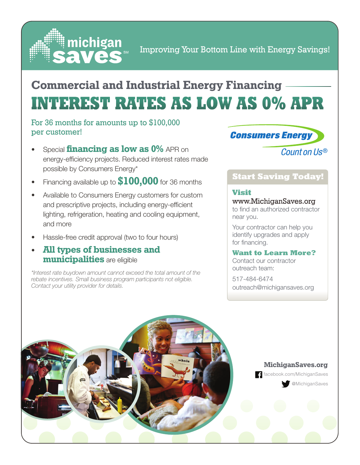

## **INTEREST RATES AS LOW AS 0% APR Commercial and Industrial Energy Financing**

#### For 36 months for amounts up to \$100,000 per customer!

- Special **financing as low as 0%** APR on energy-efficiency projects. Reduced interest rates made possible by Consumers Energy\*
- Financing available up to **\$100,000** for 36 months
- Available to Consumers Energy customers for custom and prescriptive projects, including energy-efficient lighting, refrigeration, heating and cooling equipment, and more
- Hassle-free credit approval (two to four hours)
- **All types of businesses and municipalities** are eligible

*\*Interest rate buydown amount cannot exceed the total amount of the rebate incentives. Small business program participants not eligible. Contact your utility provider for details.*

### **Consumers Energy**

Count on Us®

#### **Start Saving Today!**

#### **Visit**

www.MichiganSaves.org to find an authorized contractor near you.

Your contractor can help you identify upgrades and apply for financing.

#### **Want to Learn More?**

Contact our contractor outreach team:

517-484-6474 outreach@michigansaves.org